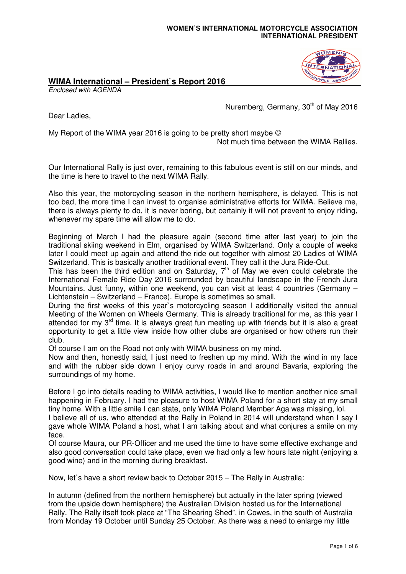## **WOMEN`S INTERNATIONAL MOTORCYCLE ASSOCIATION INTERNATIONAL PRESIDENT**

## **OMEN**

## **WIMA International – President`s Report 2016**

Enclosed with AGENDA

Nuremberg, Germany, 30<sup>th</sup> of May 2016

Dear Ladies,

My Report of the WIMA year 2016 is going to be pretty short maybe  $\odot$ 

Not much time between the WIMA Rallies.

Our International Rally is just over, remaining to this fabulous event is still on our minds, and the time is here to travel to the next WIMA Rally.

Also this year, the motorcycling season in the northern hemisphere, is delayed. This is not too bad, the more time I can invest to organise administrative efforts for WIMA. Believe me, there is always plenty to do, it is never boring, but certainly it will not prevent to enjoy riding, whenever my spare time will allow me to do.

Beginning of March I had the pleasure again (second time after last year) to join the traditional skiing weekend in Elm, organised by WIMA Switzerland. Only a couple of weeks later I could meet up again and attend the ride out together with almost 20 Ladies of WIMA Switzerland. This is basically another traditional event. They call it the Jura Ride-Out.

This has been the third edition and on Saturday,  $7<sup>th</sup>$  of May we even could celebrate the International Female Ride Day 2016 surrounded by beautiful landscape in the French Jura Mountains. Just funny, within one weekend, you can visit at least 4 countries (Germany – Lichtenstein – Switzerland – France). Europe is sometimes so small.

During the first weeks of this year`s motorcycling season I additionally visited the annual Meeting of the Women on Wheels Germany. This is already traditional for me, as this year I attended for my  $3<sup>rd</sup>$  time. It is always great fun meeting up with friends but it is also a great opportunity to get a little view inside how other clubs are organised or how others run their club.

Of course I am on the Road not only with WIMA business on my mind.

Now and then, honestly said, I just need to freshen up my mind. With the wind in my face and with the rubber side down I enjoy curvy roads in and around Bavaria, exploring the surroundings of my home.

Before I go into details reading to WIMA activities, I would like to mention another nice small happening in February. I had the pleasure to host WIMA Poland for a short stay at my small tiny home. With a little smile I can state, only WIMA Poland Member Aga was missing, lol.

I believe all of us, who attended at the Rally in Poland in 2014 will understand when I say I gave whole WIMA Poland a host, what I am talking about and what conjures a smile on my face.

Of course Maura, our PR-Officer and me used the time to have some effective exchange and also good conversation could take place, even we had only a few hours late night (enjoying a good wine) and in the morning during breakfast.

Now, let`s have a short review back to October 2015 – The Rally in Australia:

In autumn (defined from the northern hemisphere) but actually in the later spring (viewed from the upside down hemisphere) the Australian Division hosted us for the International Rally. The Rally itself took place at "The Shearing Shed", in Cowes, in the south of Australia from Monday 19 October until Sunday 25 October. As there was a need to enlarge my little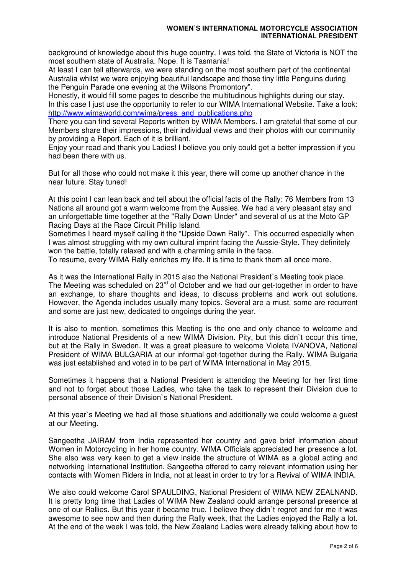background of knowledge about this huge country, I was told, the State of Victoria is NOT the most southern state of Australia. Nope. It is Tasmania!

At least I can tell afterwards, we were standing on the most southern part of the continental Australia whilst we were enjoying beautiful landscape and those tiny little Penguins during the Penguin Parade one evening at the Wilsons Promontory".

Honestly, it would fill some pages to describe the multitudinous highlights during our stay. In this case I just use the opportunity to refer to our WIMA International Website. Take a look: http://www.wimaworld.com/wima/press\_and\_publications.php

There you can find several Reports written by WIMA Members. I am grateful that some of our Members share their impressions, their individual views and their photos with our community by providing a Report. Each of it is brilliant.

Enjoy your read and thank you Ladies! I believe you only could get a better impression if you had been there with us.

But for all those who could not make it this year, there will come up another chance in the near future. Stay tuned!

At this point I can lean back and tell about the official facts of the Rally: 76 Members from 13 Nations all around got a warm welcome from the Aussies. We had a very pleasant stay and an unforgettable time together at the "Rally Down Under" and several of us at the Moto GP Racing Days at the Race Circuit Phillip Island.

Sometimes I heard myself calling it the "Upside Down Rally". This occurred especially when I was almost struggling with my own cultural imprint facing the Aussie-Style. They definitely won the battle, totally relaxed and with a charming smile in the face.

To resume, every WIMA Rally enriches my life. It is time to thank them all once more.

As it was the International Rally in 2015 also the National President`s Meeting took place. The Meeting was scheduled on  $23<sup>rd</sup>$  of October and we had our get-together in order to have an exchange, to share thoughts and ideas, to discuss problems and work out solutions. However, the Agenda includes usually many topics. Several are a must, some are recurrent and some are just new, dedicated to ongoings during the year.

It is also to mention, sometimes this Meeting is the one and only chance to welcome and introduce National Presidents of a new WIMA Division. Pity, but this didn`t occur this time, but at the Rally in Sweden. It was a great pleasure to welcome Violeta IVANOVA, National President of WIMA BULGARIA at our informal get-together during the Rally. WIMA Bulgaria was just established and voted in to be part of WIMA International in May 2015.

Sometimes it happens that a National President is attending the Meeting for her first time and not to forget about those Ladies, who take the task to represent their Division due to personal absence of their Division`s National President.

At this year`s Meeting we had all those situations and additionally we could welcome a guest at our Meeting.

Sangeetha JAIRAM from India represented her country and gave brief information about Women in Motorcycling in her home country. WIMA Officials appreciated her presence a lot. She also was very keen to get a view inside the structure of WIMA as a global acting and networking International Institution. Sangeetha offered to carry relevant information using her contacts with Women Riders in India, not at least in order to try for a Revival of WIMA INDIA.

We also could welcome Carol SPAULDING, National President of WIMA NEW ZEALNAND. It is pretty long time that Ladies of WIMA New Zealand could arrange personal presence at one of our Rallies. But this year it became true. I believe they didn`t regret and for me it was awesome to see now and then during the Rally week, that the Ladies enjoyed the Rally a lot. At the end of the week I was told, the New Zealand Ladies were already talking about how to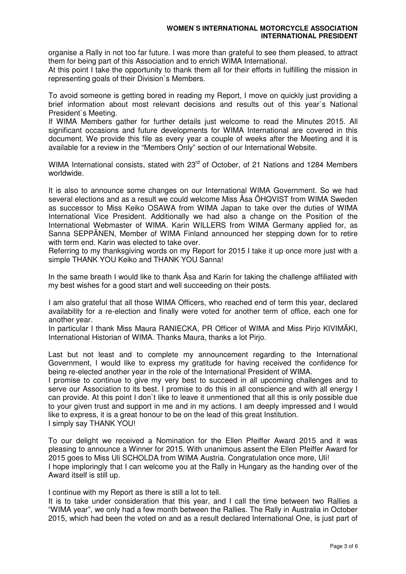organise a Rally in not too far future. I was more than grateful to see them pleased, to attract them for being part of this Association and to enrich WIMA International.

At this point I take the opportunity to thank them all for their efforts in fulfilling the mission in representing goals of their Division`s Members.

To avoid someone is getting bored in reading my Report, I move on quickly just providing a brief information about most relevant decisions and results out of this year`s National President`s Meeting.

If WIMA Members gather for further details just welcome to read the Minutes 2015. All significant occasions and future developments for WIMA International are covered in this document. We provide this file as every year a couple of weeks after the Meeting and it is available for a review in the "Members Only" section of our International Website.

WIMA International consists, stated with 23<sup>rd</sup> of October, of 21 Nations and 1284 Members worldwide.

It is also to announce some changes on our International WIMA Government. So we had several elections and as a result we could welcome Miss Åsa ÖHQVIST from WIMA Sweden as successor to Miss Keiko OSAWA from WIMA Japan to take over the duties of WIMA International Vice President. Additionally we had also a change on the Position of the International Webmaster of WIMA. Karin WILLERS from WIMA Germany applied for, as Sanna SEPPÄNEN, Member of WIMA Finland announced her stepping down for to retire with term end. Karin was elected to take over.

Referring to my thanksgiving words on my Report for 2015 I take it up once more just with a simple THANK YOU Keiko and THANK YOU Sanna!

In the same breath I would like to thank Åsa and Karin for taking the challenge affiliated with my best wishes for a good start and well succeeding on their posts.

I am also grateful that all those WIMA Officers, who reached end of term this year, declared availability for a re-election and finally were voted for another term of office, each one for another year.

In particular I thank Miss Maura RANIECKA, PR Officer of WIMA and Miss Pirjo KIVIMÄKI, International Historian of WIMA. Thanks Maura, thanks a lot Pirjo.

Last but not least and to complete my announcement regarding to the International Government, I would like to express my gratitude for having received the confidence for being re-elected another year in the role of the International President of WIMA.

I promise to continue to give my very best to succeed in all upcoming challenges and to serve our Association to its best. I promise to do this in all conscience and with all energy I can provide. At this point I don`t like to leave it unmentioned that all this is only possible due to your given trust and support in me and in my actions. I am deeply impressed and I would like to express, it is a great honour to be on the lead of this great Institution. I simply say THANK YOU!

To our delight we received a Nomination for the Ellen Pfeiffer Award 2015 and it was pleasing to announce a Winner for 2015. With unanimous assent the Ellen Pfeiffer Award for 2015 goes to Miss Uli SCHOLDA from WIMA Austria. Congratulation once more, Uli! I hope imploringly that I can welcome you at the Rally in Hungary as the handing over of the Award itself is still up.

I continue with my Report as there is still a lot to tell.

It is to take under consideration that this year, and I call the time between two Rallies a "WIMA year", we only had a few month between the Rallies. The Rally in Australia in October 2015, which had been the voted on and as a result declared International One, is just part of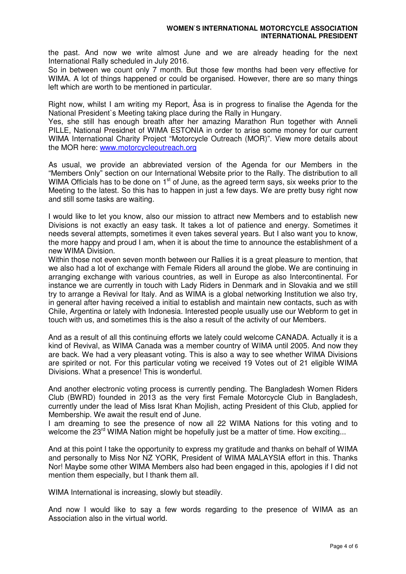the past. And now we write almost June and we are already heading for the next International Rally scheduled in July 2016.

So in between we count only 7 month. But those few months had been very effective for WIMA. A lot of things happened or could be organised. However, there are so many things left which are worth to be mentioned in particular.

Right now, whilst I am writing my Report, Åsa is in progress to finalise the Agenda for the National President`s Meeting taking place during the Rally in Hungary.

Yes, she still has enough breath after her amazing Marathon Run together with Anneli PILLE, National Presidnet of WIMA ESTONIA in order to arise some money for our current WIMA International Charity Project "Motorcycle Outreach (MOR)". View more details about the MOR here: www.motorcycleoutreach.org

As usual, we provide an abbreviated version of the Agenda for our Members in the "Members Only" section on our International Website prior to the Rally. The distribution to all WIMA Officials has to be done on  $1<sup>st</sup>$  of June, as the agreed term says, six weeks prior to the Meeting to the latest. So this has to happen in just a few days. We are pretty busy right now and still some tasks are waiting.

I would like to let you know, also our mission to attract new Members and to establish new Divisions is not exactly an easy task. It takes a lot of patience and energy. Sometimes it needs several attempts, sometimes it even takes several years. But I also want you to know, the more happy and proud I am, when it is about the time to announce the establishment of a new WIMA Division.

Within those not even seven month between our Rallies it is a great pleasure to mention, that we also had a lot of exchange with Female Riders all around the globe. We are continuing in arranging exchange with various countries, as well in Europe as also Intercontinental. For instance we are currently in touch with Lady Riders in Denmark and in Slovakia and we still try to arrange a Revival for Italy. And as WIMA is a global networking Institution we also try, in general after having received a initial to establish and maintain new contacts, such as with Chile, Argentina or lately with Indonesia. Interested people usually use our Webform to get in touch with us, and sometimes this is the also a result of the activity of our Members.

And as a result of all this continuing efforts we lately could welcome CANADA. Actually it is a kind of Revival, as WIMA Canada was a member country of WIMA until 2005. And now they are back. We had a very pleasant voting. This is also a way to see whether WIMA Divisions are spirited or not. For this particular voting we received 19 Votes out of 21 eligible WIMA Divisions. What a presence! This is wonderful.

And another electronic voting process is currently pending. The Bangladesh Women Riders Club (BWRD) founded in 2013 as the very first Female Motorcycle Club in Bangladesh, currently under the lead of Miss Israt Khan Mojlish, acting President of this Club, applied for Membership. We await the result end of June.

I am dreaming to see the presence of now all 22 WIMA Nations for this voting and to welcome the 23<sup>rd</sup> WIMA Nation might be hopefully just be a matter of time. How exciting...

And at this point I take the opportunity to express my gratitude and thanks on behalf of WIMA and personally to Miss Nor NZ YORK, President of WIMA MALAYSIA effort in this. Thanks Nor! Maybe some other WIMA Members also had been engaged in this, apologies if I did not mention them especially, but I thank them all.

WIMA International is increasing, slowly but steadily.

And now I would like to say a few words regarding to the presence of WIMA as an Association also in the virtual world.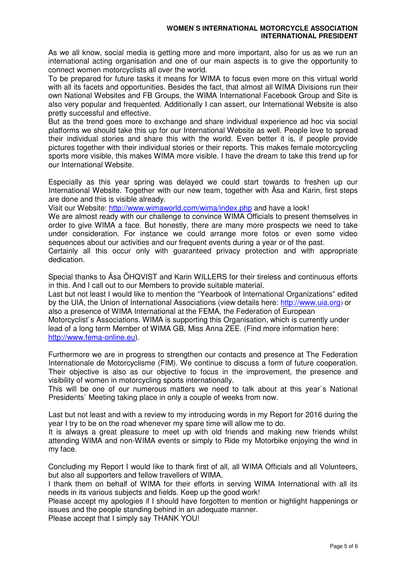As we all know, social media is getting more and more important, also for us as we run an international acting organisation and one of our main aspects is to give the opportunity to connect women motorcyclists all over the world.

To be prepared for future tasks it means for WIMA to focus even more on this virtual world with all its facets and opportunities. Besides the fact, that almost all WIMA Divisions run their own National Websites and FB Groups, the WIMA International Facebook Group and Site is also very popular and frequented. Additionally I can assert, our International Website is also pretty successful and effective.

But as the trend goes more to exchange and share individual experience ad hoc via social platforms we should take this up for our International Website as well. People love to spread their individual stories and share this with the world. Even better it is, if people provide pictures together with their individual stories or their reports. This makes female motorcycling sports more visible, this makes WIMA more visible. I have the dream to take this trend up for our International Website.

Especially as this year spring was delayed we could start towards to freshen up our International Website. Together with our new team, together with Åsa and Karin, first steps are done and this is visible already.

Visit our Website: http://www.wimaworld.com/wima/index.php and have a look!

We are almost ready with our challenge to convince WIMA Officials to present themselves in order to give WIMA a face. But honestly, there are many more prospects we need to take under consideration. For instance we could arrange more fotos or even some video sequences about our activities and our frequent events during a year or of the past.

Certainly all this occur only with guaranteed privacy protection and with appropriate dedication.

Special thanks to Åsa ÖHQVIST and Karin WILLERS for their tireless and continuous efforts in this. And I call out to our Members to provide suitable material.

Last but not least I would like to mention the "Yearbook of International Organizations" edited by the UIA, the Union of International Associations (view details here: http://www.uia.org) or also a presence of WIMA International at the FEMA, the Federation of European Motorcyclist`s Associations. WIMA is supporting this Organisation, which is currently under lead of a long term Member of WIMA GB, Miss Anna ZEE. (Find more information here: http://www.fema-online.eu).

Furthermore we are in progress to strengthen our contacts and presence at The Federation Internationale de Motorcyclisme (FIM). We continue to discuss a form of future cooperation. Their objective is also as our objective to focus in the improvement, the presence and visibility of women in motorcycling sports internationally.

This will be one of our numerous matters we need to talk about at this year`s National Presidents` Meeting taking place in only a couple of weeks from now.

Last but not least and with a review to my introducing words in my Report for 2016 during the year I try to be on the road whenever my spare time will allow me to do.

It is always a great pleasure to meet up with old friends and making new friends whilst attending WIMA and non-WIMA events or simply to Ride my Motorbike enjoying the wind in my face.

Concluding my Report I would like to thank first of all, all WIMA Officials and all Volunteers, but also all supporters and fellow travellers of WIMA.

I thank them on behalf of WIMA for their efforts in serving WIMA International with all its needs in its various subjects and fields. Keep up the good work!

Please accept my apologies if I should have forgotten to mention or highlight happenings or issues and the people standing behind in an adequate manner.

Please accept that I simply say THANK YOU!